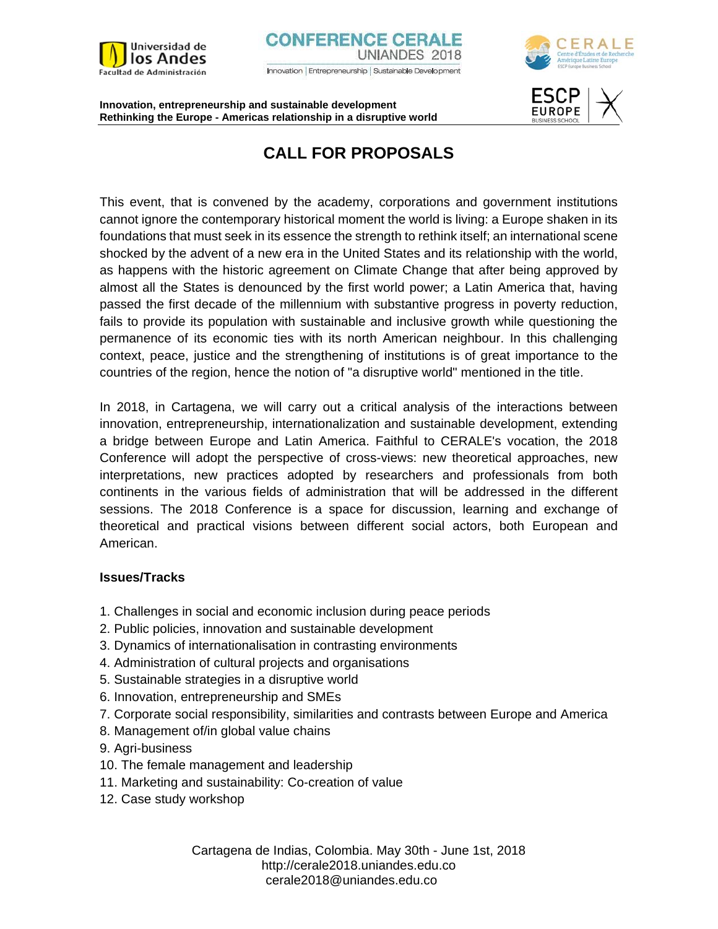







# **CALL FOR PROPOSALS**

This event, that is convened by the academy, corporations and government institutions cannot ignore the contemporary historical moment the world is living: a Europe shaken in its foundations that must seek in its essence the strength to rethink itself; an international scene shocked by the advent of a new era in the United States and its relationship with the world, as happens with the historic agreement on Climate Change that after being approved by almost all the States is denounced by the first world power; a Latin America that, having passed the first decade of the millennium with substantive progress in poverty reduction, fails to provide its population with sustainable and inclusive growth while questioning the permanence of its economic ties with its north American neighbour. In this challenging context, peace, justice and the strengthening of institutions is of great importance to the countries of the region, hence the notion of "a disruptive world" mentioned in the title.

In 2018, in Cartagena, we will carry out a critical analysis of the interactions between innovation, entrepreneurship, internationalization and sustainable development, extending a bridge between Europe and Latin America. Faithful to CERALE's vocation, the 2018 Conference will adopt the perspective of cross-views: new theoretical approaches, new interpretations, new practices adopted by researchers and professionals from both continents in the various fields of administration that will be addressed in the different sessions. The 2018 Conference is a space for discussion, learning and exchange of theoretical and practical visions between different social actors, both European and American.

## **Issues/Tracks**

- 1. Challenges in social and economic inclusion during peace periods
- 2. Public policies, innovation and sustainable development
- 3. Dynamics of internationalisation in contrasting environments
- 4. Administration of cultural projects and organisations
- 5. Sustainable strategies in a disruptive world
- 6. Innovation, entrepreneurship and SMEs
- 7. Corporate social responsibility, similarities and contrasts between Europe and America
- 8. Management of/in global value chains
- 9. Agri-business
- 10. The female management and leadership
- 11. Marketing and sustainability: Co-creation of value
- 12. Case study workshop

Cartagena de Indias, Colombia. May 30th - June 1st, 2018 http://cerale2018.uniandes.edu.co cerale2018@uniandes.edu.co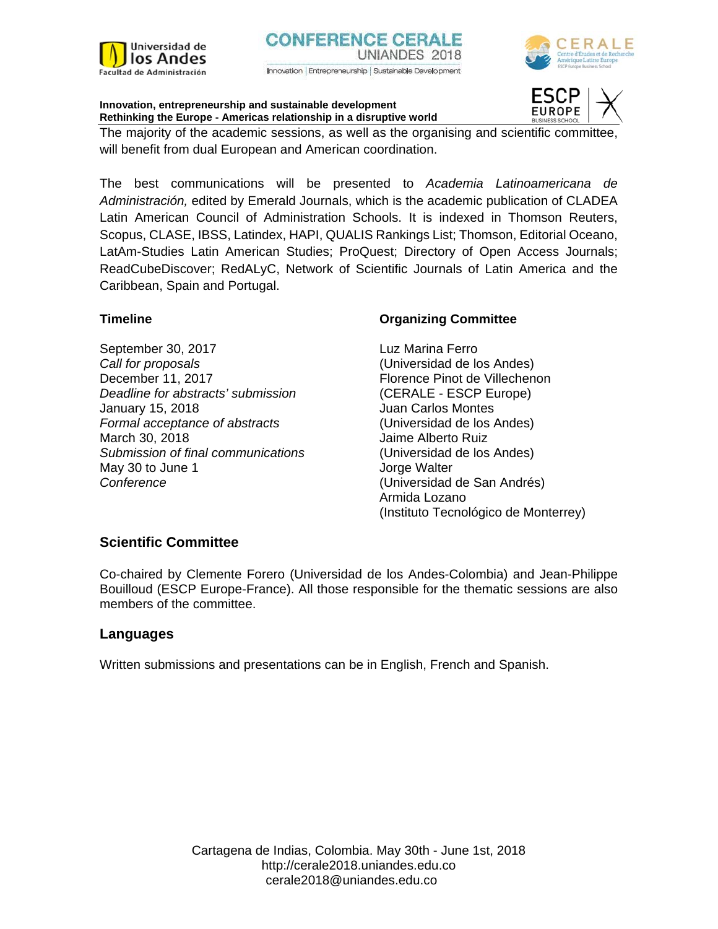



The majority of the academic sessions, as well as the organising and scientific committee, will benefit from dual European and American coordination.

The best communications will be presented to *Academia Latinoamericana de Administración,* edited by Emerald Journals, which is the academic publication of CLADEA Latin American Council of Administration Schools. It is indexed in Thomson Reuters, Scopus, CLASE, IBSS, Latindex, HAPI, QUALIS Rankings List; Thomson, Editorial Oceano, LatAm-Studies Latin American Studies; ProQuest; Directory of Open Access Journals; ReadCubeDiscover; RedALyC, Network of Scientific Journals of Latin America and the Caribbean, Spain and Portugal.

## **Timeline**

September 30, 2017 *Call for proposals*  December 11, 2017 *Deadline for abstracts' submission*  January 15, 2018 *Formal acceptance of abstracts*  March 30, 2018 *Submission of final communications*  May 30 to June 1 *Conference* 

## **Organizing Committee**

Luz Marina Ferro (Universidad de los Andes) Florence Pinot de Villechenon (CERALE - ESCP Europe) Juan Carlos Montes (Universidad de los Andes) Jaime Alberto Ruiz (Universidad de los Andes) Jorge Walter (Universidad de San Andrés) Armida Lozano (Instituto Tecnológico de Monterrey)

## **Scientific Committee**

Co-chaired by Clemente Forero (Universidad de los Andes-Colombia) and Jean-Philippe Bouilloud (ESCP Europe-France). All those responsible for the thematic sessions are also members of the committee.

## **Languages**

Written submissions and presentations can be in English, French and Spanish.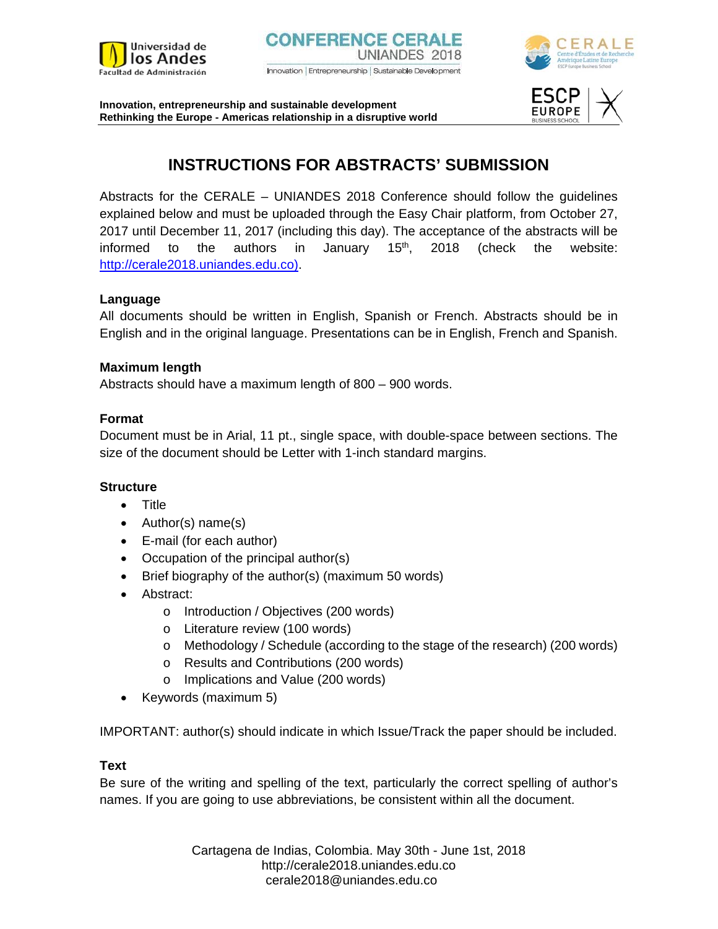





## **INSTRUCTIONS FOR ABSTRACTS' SUBMISSION**

Abstracts for the CERALE – UNIANDES 2018 Conference should follow the guidelines explained below and must be uploaded through the Easy Chair platform, from October 27, 2017 until December 11, 2017 (including this day). The acceptance of the abstracts will be informed to the authors in January  $15<sup>th</sup>$ , 2018 (check the website: http://cerale2018.uniandes.edu.co).

## **Language**

All documents should be written in English, Spanish or French. Abstracts should be in English and in the original language. Presentations can be in English, French and Spanish.

## **Maximum length**

Abstracts should have a maximum length of 800 – 900 words.

## **Format**

Document must be in Arial, 11 pt., single space, with double-space between sections. The size of the document should be Letter with 1-inch standard margins.

## **Structure**

- Title
- Author(s) name(s)
- E-mail (for each author)
- Occupation of the principal author(s)
- Brief biography of the author(s) (maximum 50 words)
- Abstract:
	- o Introduction / Objectives (200 words)
	- o Literature review (100 words)
	- o Methodology / Schedule (according to the stage of the research) (200 words)
	- o Results and Contributions (200 words)
	- o Implications and Value (200 words)
- Keywords (maximum 5)

IMPORTANT: author(s) should indicate in which Issue/Track the paper should be included.

## **Text**

Be sure of the writing and spelling of the text, particularly the correct spelling of author's names. If you are going to use abbreviations, be consistent within all the document.

> Cartagena de Indias, Colombia. May 30th - June 1st, 2018 http://cerale2018.uniandes.edu.co cerale2018@uniandes.edu.co